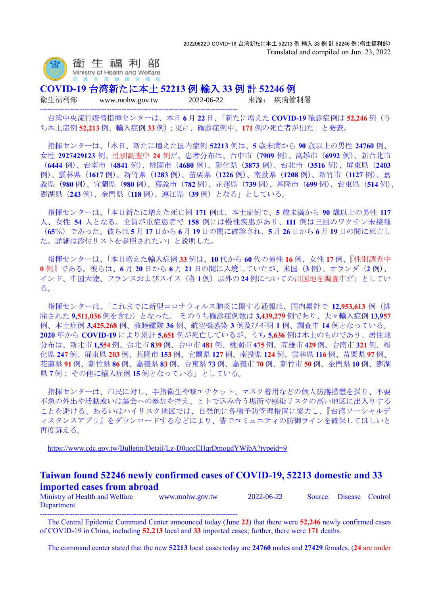

**COVID-19** 台湾新たに本土 **52213** 例 輸入 **33** 例 計 **52246** 例

--------------------------------------------------------------------------------

衛生福利部 www.mohw.gov.tw 2022-06-22 來源: 疾病管制署

台湾中央流行疫情指揮センターは、本日 **6** 月 **22** 日、「新たに増えた **COVID-19** 確診症例は **52,246** 例(う ち本土症例 **52,213** 例、輸入症例 **33** 例);更に、確診症例中、**171** 例の死亡者が出た」と発表。

指揮センターは、「本日、新たに増えた国内症例 **52213** 例は、**5** 歳未満から **90** 歳以上の男性 **24760** 例、 女性 **2927429123** 例、性別調査中 **24** 例だ。患者分布は、台中市(**7909** 例)、高雄市(**6992** 例)、新台北市 (**6444** 例)、台南市(**4841** 例)、桃園市(**4680** 例)、彰化県(**3873** 例)、台北市(**3516** 例)、屏東県(**2403** 例)、雲林県(**1617** 例)、新竹県(**1283** 例)、苗栗県(**1226** 例)、南投県(**1208** 例)、新竹市(**1127** 例)、嘉 義県(**980** 例)、宜蘭県(**980** 例)、嘉義市(**782** 例)、花蓮県(**739** 例)、基隆市(**699** 例)、台東県(**514** 例)、 澎湖県(**243** 例)、金門県(**118** 例)、連江県(**39** 例)となる」としている。

指揮センターは、「本日新たに増えた死亡例 **171** 例は、本土症例で、**5** 歳未満から **90** 歳以上の男性 **117** 人、女性 **54** 人となる。全員が重症患者で **158** 例には慢性疾患があり、**111** 例は三回のワクチン未接種 (**65**%)であった。彼らは **5** 月 **17** 日から **6** 月 **19** 日の間に確診され、**5** 月 **26** 日から **6** 月 **19** 日の間に死亡し た。詳細は添付リストを参照されたい」と説明した。

指揮センターは、「本日増えた輸入症例 **33** 例は、**10** 代から **60** 代の男性 **16** 例、女性 **17** 例、『性別調査中 **0** 例』である。彼らは、**6** 月 **20** 日から **6** 月 **21** 日の間に入境していたが、米国(**3** 例)、オランダ(**2** 例)、 インド、中国大陸、フランスおよびスイス(各 **1**例)以外の **24**例についての出国地を調査中だ」としてい る。

指揮センターは、「これまでに新型コロナウィルス肺炎に関する通報は、国内累計で **12,953,613** 例(排 除された **9,511,036** 例を含む)となった。 そのうち確診症例数は **3,439,279** 例であり、夫々輸入症例 **13,957** 例、本土症例 **3,425,268** 例、敦睦艦隊 **36** 例、航空機感染 **3** 例及び不明 **1** 例、調査中 **14** 例となっている。 **2020** 年から **COVID-19** により累計 **5,651** 例が死亡しているが、うち **5,636** 例は本土のものであり、居住地 分布は、新北市 **1,554** 例、台北市 **839** 例、台中市 **481** 例、桃園市 **475** 例、高雄市 **429** 例、台南市 **321** 例、彰 化県 **247** 例、屏東県 **203** 例、基隆市 **153** 例、宜蘭県 **127** 例、南投県 **124** 例、雲林県 **116** 例、苗栗県 **97** 例、 花蓮県 **91** 例、新竹県 **86** 例、嘉義県 **83** 例、台東県 **73** 例、嘉義市 **70** 例、新竹市 **50** 例、金門県 **10** 例、澎湖 県 **7** 例; その他に輸入症例 **15** 例となっている」としている。

指揮センターは、市民に対し、手指衛生や咳エチケット、マスク着用などの個人防護措置を採り、不要 不急の外出や活動或いは集会への参加を控え、ヒトで込み合う場所や感染リスクの高い地区に出入りする ことを避ける、あるいはハイリスク地区では、自発的に各項予防管理措置に協力し、『台湾ソーシャルデ ィスタンスアプリ』をダウンロードするなどにより、皆でコミュニティの防御ラインを確保してほしいと 再度訴える。

<https://www.cdc.gov.tw/Bulletin/Detail/Lz-D0qccEHqrDmogdYWibA?typeid=9>

## **Taiwan found 52246 newly confirmed cases of COVID-19, 52213 domestic and 33 imported cases from abroad**

Ministry of Health and Welfare www.mohw.gov.tw 2022-06-22 Source: Disease Control Department --------------------------------------------------------------------------------

The Central Epidemic Command Center announced today (June **22**) that there were **52,246** newly confirmed cases of COVID-19 in China, including **52,213** local and **33** imported cases; further, there were **171** deaths.

The command center stated that the new **52213** local cases today are **24760** males and **27429** females, (**24** are under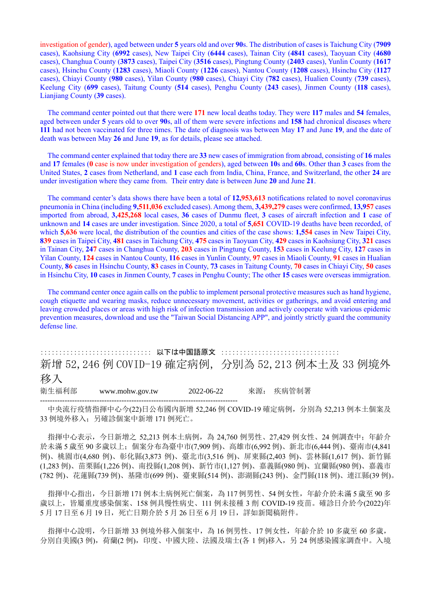investigation of gender), aged between under **5** years old and over **90**s. The distribution of cases is Taichung City (**7909** cases), Kaohsiung City (**6992** cases), New Taipei City (**6444** cases), Tainan City (**4841** cases), Taoyuan City (**4680** cases), Changhua County (**3873** cases), Taipei City (**3516** cases), Pingtung County (**2403** cases), Yunlin County (**1617** cases), Hsinchu County (**1283** cases), Miaoli County (**1226** cases), Nantou County (**1208** cases), Hsinchu City (**1127** cases), Chiayi County (**980** cases), Yilan County (**980** cases), Chiayi City (**782** cases), Hualien County (**739** cases), Keelung City (**699** cases), Taitung County (**514** cases), Penghu County (**243** cases), Jinmen County (**118** cases), Lianjiang County (**39** cases).

The command center pointed out that there were **171** new local deaths today. They were **117** males and **54** females, aged between under **5** years old to over **90**s, all of them were severe infections and **158** had chronical diseases where **111** had not been vaccinated for three times. The date of diagnosis was between May **17** and June **19**, and the date of death was between May **26** and June **19**, as for details, please see attached.

The command center explained that today there are **33** new cases of immigration from abroad, consisting of **16** males and **17** females (**0** case is now under investigation of genders), aged between **10**s and **60**s. Other than **3** cases from the United States, **2** cases from Netherland, and **1** case each from India, China, France, and Switzerland, the other **24** are under investigation where they came from. Their entry date is between June **20** and June **21**.

The command center's data shows there have been a total of **12,953,613** notifications related to novel coronavirus pneumonia in China (including **9,511,036** excluded cases). Among them, **3,439,279** cases were confirmed, **13,957** cases imported from abroad, **3,425,268** local cases, **36** cases of Dunmu fleet, **3** cases of aircraft infection and **1** case of unknown and **14** cases are under investigation. Since 2020, a total of **5,651** COVID-19 deaths have been recorded, of which **5,636** were local, the distribution of the counties and cities of the case shows: **1,554** cases in New Taipei City, **839** cases in Taipei City, **481** cases in Taichung City, **475** cases in Taoyuan City, **429** cases in Kaohsiung City, **321** cases in Tainan City, **247** cases in Changhua County, **203** cases in Pingtung County, **153** cases in Keelung City, **127** cases in Yilan County, **124** cases in Nantou County, **116** cases in Yunlin County, **97** cases in Miaoli County, **91** cases in Hualian County, **86** cases in Hsinchu County, **83** cases in County, **73** cases in Taitung County, **70** cases in Chiayi City, **50** cases in Hsinchu City, **10** cases in Jinmen County, **7** cases in Penghu County; The other **15** cases were overseas immigration.

The command center once again calls on the public to implement personal protective measures such as hand hygiene, cough etiquette and wearing masks, reduce unnecessary movement, activities or gatherings, and avoid entering and leaving crowded places or areas with high risk of infection transmission and actively cooperate with various epidemic prevention measures, download and use the "Taiwan Social Distancing APP", and jointly strictly guard the community defense line.

:::::::::::::::::::::::::::::: 以下は中国語原文 :::::::::::::::::::::::::::::::: 新增 52,246 例 COVID-19 確定病例,分別為 52,213 例本土及 33 例境外 移入 衛生福利部 www.mohw.gov.tw 2022-06-22 來源: 疾病管制署 --------------------------------------------------------------------------------

中央流行疫情指揮中心今(22)日公布國內新增 52,246 例 COVID-19 確定病例, 分別為 52,213 例本土個案及 33 例境外移入;另確診個案中新增 171 例死亡。

指揮中心表示,今日新增之 52,213 例本土病例,為 24,760 例男性、27,429 例女性、24 例調查中;年齡介 於未滿 5 歲至 90 多歲以上;個案分布為臺中市(7,909 例)、高雄市(6,992 例)、新北市(6,444 例)、臺南市(4,841 例)、桃園市(4,680 例)、彰化縣(3,873 例)、臺北市(3,516 例)、屏東縣(2,403 例)、雲林縣(1,617 例)、新竹縣 (1,283 例)、苗栗縣(1,226 例)、南投縣(1,208 例)、新竹市(1,127 例)、嘉義縣(980 例)、宜蘭縣(980 例)、嘉義市 (782 例)、花蓮縣(739 例)、基隆市(699 例)、臺東縣(514 例)、澎湖縣(243 例)、金門縣(118 例)、連江縣(39 例)。

指揮中心指出,今日新增 171 例本土病例死亡個案,為 117 例男性、54 例女性,年齡介於未滿 5 歲至 90 多 歲以上,皆屬重度感染個案、158 例具慢性病史、111 例未接種 3 劑 COVID-19 疫苗。確診日介於今(2022)年 5 月 17 日至 6 月 19 日,死亡日期介於 5 月 26 日至 6 月 19 日,詳如新聞稿附件。

指揮中心說明,今日新增 33 例境外移入個案中,為 16 例男性、17 例女性,年齡介於 10 多歲至 60 多歲, 分別自美國(3例), 荷蘭(2例), 印度、中國大陸、法國及瑞士(各 1 例)移入, 另 24 例感染國家調查中。入境